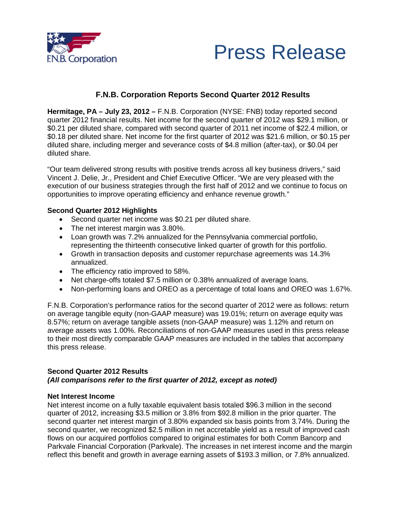



# **F.N.B. Corporation Reports Second Quarter 2012 Results**

**Hermitage, PA – July 23, 2012 –** F.N.B. Corporation (NYSE: FNB) today reported second quarter 2012 financial results. Net income for the second quarter of 2012 was \$29.1 million, or \$0.21 per diluted share, compared with second quarter of 2011 net income of \$22.4 million, or \$0.18 per diluted share. Net income for the first quarter of 2012 was \$21.6 million, or \$0.15 per diluted share, including merger and severance costs of \$4.8 million (after-tax), or \$0.04 per diluted share.

"Our team delivered strong results with positive trends across all key business drivers," said Vincent J. Delie, Jr., President and Chief Executive Officer. "We are very pleased with the execution of our business strategies through the first half of 2012 and we continue to focus on opportunities to improve operating efficiency and enhance revenue growth."

## **Second Quarter 2012 Highlights**

- Second quarter net income was \$0.21 per diluted share.
- The net interest margin was 3.80%.
- Loan growth was 7.2% annualized for the Pennsylvania commercial portfolio, representing the thirteenth consecutive linked quarter of growth for this portfolio.
- Growth in transaction deposits and customer repurchase agreements was 14.3% annualized.
- The efficiency ratio improved to 58%.
- Net charge-offs totaled \$7.5 million or 0.38% annualized of average loans.
- Non-performing loans and OREO as a percentage of total loans and OREO was 1.67%.

F.N.B. Corporation's performance ratios for the second quarter of 2012 were as follows: return on average tangible equity (non-GAAP measure) was 19.01%; return on average equity was 8.57%; return on average tangible assets (non-GAAP measure) was 1.12% and return on average assets was 1.00%. Reconciliations of non-GAAP measures used in this press release to their most directly comparable GAAP measures are included in the tables that accompany this press release.

## **Second Quarter 2012 Results**  *(All comparisons refer to the first quarter of 2012, except as noted)*

## **Net Interest Income**

Net interest income on a fully taxable equivalent basis totaled \$96.3 million in the second quarter of 2012, increasing \$3.5 million or 3.8% from \$92.8 million in the prior quarter. The second quarter net interest margin of 3.80% expanded six basis points from 3.74%. During the second quarter, we recognized \$2.5 million in net accretable yield as a result of improved cash flows on our acquired portfolios compared to original estimates for both Comm Bancorp and Parkvale Financial Corporation (Parkvale). The increases in net interest income and the margin reflect this benefit and growth in average earning assets of \$193.3 million, or 7.8% annualized.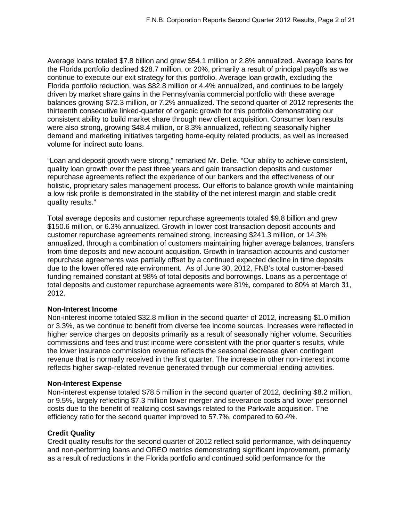Average loans totaled \$7.8 billion and grew \$54.1 million or 2.8% annualized. Average loans for the Florida portfolio declined \$28.7 million, or 20%, primarily a result of principal payoffs as we continue to execute our exit strategy for this portfolio. Average loan growth, excluding the Florida portfolio reduction, was \$82.8 million or 4.4% annualized, and continues to be largely driven by market share gains in the Pennsylvania commercial portfolio with these average balances growing \$72.3 million, or 7.2% annualized. The second quarter of 2012 represents the thirteenth consecutive linked-quarter of organic growth for this portfolio demonstrating our consistent ability to build market share through new client acquisition. Consumer loan results were also strong, growing \$48.4 million, or 8.3% annualized, reflecting seasonally higher demand and marketing initiatives targeting home-equity related products, as well as increased volume for indirect auto loans.

"Loan and deposit growth were strong," remarked Mr. Delie. "Our ability to achieve consistent, quality loan growth over the past three years and gain transaction deposits and customer repurchase agreements reflect the experience of our bankers and the effectiveness of our holistic, proprietary sales management process. Our efforts to balance growth while maintaining a low risk profile is demonstrated in the stability of the net interest margin and stable credit quality results."

Total average deposits and customer repurchase agreements totaled \$9.8 billion and grew \$150.6 million, or 6.3% annualized. Growth in lower cost transaction deposit accounts and customer repurchase agreements remained strong, increasing \$241.3 million, or 14.3% annualized, through a combination of customers maintaining higher average balances, transfers from time deposits and new account acquisition. Growth in transaction accounts and customer repurchase agreements was partially offset by a continued expected decline in time deposits due to the lower offered rate environment. As of June 30, 2012, FNB's total customer-based funding remained constant at 98% of total deposits and borrowings. Loans as a percentage of total deposits and customer repurchase agreements were 81%, compared to 80% at March 31, 2012.

## **Non-Interest Income**

Non-interest income totaled \$32.8 million in the second quarter of 2012, increasing \$1.0 million or 3.3%, as we continue to benefit from diverse fee income sources. Increases were reflected in higher service charges on deposits primarily as a result of seasonally higher volume. Securities commissions and fees and trust income were consistent with the prior quarter's results, while the lower insurance commission revenue reflects the seasonal decrease given contingent revenue that is normally received in the first quarter. The increase in other non-interest income reflects higher swap-related revenue generated through our commercial lending activities.

## **Non-Interest Expense**

Non-interest expense totaled \$78.5 million in the second quarter of 2012, declining \$8.2 million, or 9.5%, largely reflecting \$7.3 million lower merger and severance costs and lower personnel costs due to the benefit of realizing cost savings related to the Parkvale acquisition. The efficiency ratio for the second quarter improved to 57.7%, compared to 60.4%.

## **Credit Quality**

Credit quality results for the second quarter of 2012 reflect solid performance, with delinquency and non-performing loans and OREO metrics demonstrating significant improvement, primarily as a result of reductions in the Florida portfolio and continued solid performance for the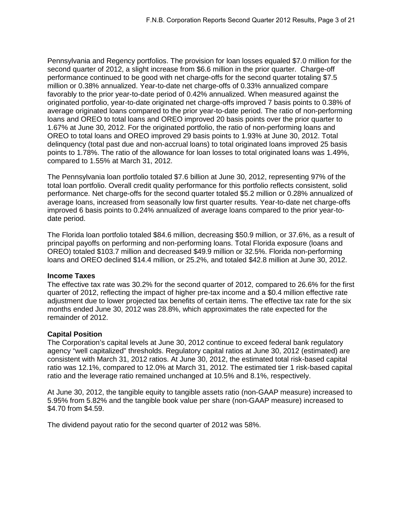Pennsylvania and Regency portfolios. The provision for loan losses equaled \$7.0 million for the second quarter of 2012, a slight increase from \$6.6 million in the prior quarter. Charge-off performance continued to be good with net charge-offs for the second quarter totaling \$7.5 million or 0.38% annualized. Year-to-date net charge-offs of 0.33% annualized compare favorably to the prior year-to-date period of 0.42% annualized. When measured against the originated portfolio, year-to-date originated net charge-offs improved 7 basis points to 0.38% of average originated loans compared to the prior year-to-date period. The ratio of non-performing loans and OREO to total loans and OREO improved 20 basis points over the prior quarter to 1.67% at June 30, 2012. For the originated portfolio, the ratio of non-performing loans and OREO to total loans and OREO improved 29 basis points to 1.93% at June 30, 2012. Total delinquency (total past due and non-accrual loans) to total originated loans improved 25 basis points to 1.78%. The ratio of the allowance for loan losses to total originated loans was 1.49%, compared to 1.55% at March 31, 2012.

The Pennsylvania loan portfolio totaled \$7.6 billion at June 30, 2012, representing 97% of the total loan portfolio. Overall credit quality performance for this portfolio reflects consistent, solid performance. Net charge-offs for the second quarter totaled \$5.2 million or 0.28% annualized of average loans, increased from seasonally low first quarter results. Year-to-date net charge-offs improved 6 basis points to 0.24% annualized of average loans compared to the prior year-todate period.

The Florida loan portfolio totaled \$84.6 million, decreasing \$50.9 million, or 37.6%, as a result of principal payoffs on performing and non-performing loans. Total Florida exposure (loans and OREO) totaled \$103.7 million and decreased \$49.9 million or 32.5%. Florida non-performing loans and OREO declined \$14.4 million, or 25.2%, and totaled \$42.8 million at June 30, 2012.

## **Income Taxes**

The effective tax rate was 30.2% for the second quarter of 2012, compared to 26.6% for the first quarter of 2012, reflecting the impact of higher pre-tax income and a \$0.4 million effective rate adjustment due to lower projected tax benefits of certain items. The effective tax rate for the six months ended June 30, 2012 was 28.8%, which approximates the rate expected for the remainder of 2012.

## **Capital Position**

The Corporation's capital levels at June 30, 2012 continue to exceed federal bank regulatory agency "well capitalized" thresholds. Regulatory capital ratios at June 30, 2012 (estimated) are consistent with March 31, 2012 ratios. At June 30, 2012, the estimated total risk-based capital ratio was 12.1%, compared to 12.0% at March 31, 2012. The estimated tier 1 risk-based capital ratio and the leverage ratio remained unchanged at 10.5% and 8.1%, respectively.

At June 30, 2012, the tangible equity to tangible assets ratio (non-GAAP measure) increased to 5.95% from 5.82% and the tangible book value per share (non-GAAP measure) increased to \$4.70 from \$4.59.

The dividend payout ratio for the second quarter of 2012 was 58%.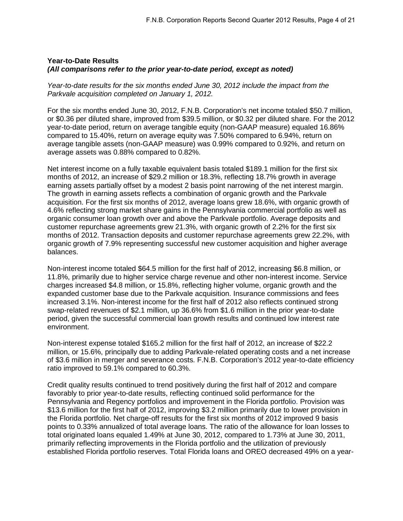## **Year-to-Date Results**  *(All comparisons refer to the prior year-to-date period, except as noted)*

*Year-to-date results for the six months ended June 30, 2012 include the impact from the Parkvale acquisition completed on January 1, 2012.*

For the six months ended June 30, 2012, F.N.B. Corporation's net income totaled \$50.7 million, or \$0.36 per diluted share, improved from \$39.5 million, or \$0.32 per diluted share. For the 2012 year-to-date period, return on average tangible equity (non-GAAP measure) equaled 16.86% compared to 15.40%, return on average equity was 7.50% compared to 6.94%, return on average tangible assets (non-GAAP measure) was 0.99% compared to 0.92%, and return on average assets was 0.88% compared to 0.82%.

Net interest income on a fully taxable equivalent basis totaled \$189.1 million for the first six months of 2012, an increase of \$29.2 million or 18.3%, reflecting 18.7% growth in average earning assets partially offset by a modest 2 basis point narrowing of the net interest margin. The growth in earning assets reflects a combination of organic growth and the Parkvale acquisition. For the first six months of 2012, average loans grew 18.6%, with organic growth of 4.6% reflecting strong market share gains in the Pennsylvania commercial portfolio as well as organic consumer loan growth over and above the Parkvale portfolio. Average deposits and customer repurchase agreements grew 21.3%, with organic growth of 2.2% for the first six months of 2012. Transaction deposits and customer repurchase agreements grew 22.2%, with organic growth of 7.9% representing successful new customer acquisition and higher average balances.

Non-interest income totaled \$64.5 million for the first half of 2012, increasing \$6.8 million, or 11.8%, primarily due to higher service charge revenue and other non-interest income. Service charges increased \$4.8 million, or 15.8%, reflecting higher volume, organic growth and the expanded customer base due to the Parkvale acquisition. Insurance commissions and fees increased 3.1%. Non-interest income for the first half of 2012 also reflects continued strong swap-related revenues of \$2.1 million, up 36.6% from \$1.6 million in the prior year-to-date period, given the successful commercial loan growth results and continued low interest rate environment.

Non-interest expense totaled \$165.2 million for the first half of 2012, an increase of \$22.2 million, or 15.6%, principally due to adding Parkvale-related operating costs and a net increase of \$3.6 million in merger and severance costs. F.N.B. Corporation's 2012 year-to-date efficiency ratio improved to 59.1% compared to 60.3%.

Credit quality results continued to trend positively during the first half of 2012 and compare favorably to prior year-to-date results, reflecting continued solid performance for the Pennsylvania and Regency portfolios and improvement in the Florida portfolio. Provision was \$13.6 million for the first half of 2012, improving \$3.2 million primarily due to lower provision in the Florida portfolio. Net charge-off results for the first six months of 2012 improved 9 basis points to 0.33% annualized of total average loans. The ratio of the allowance for loan losses to total originated loans equaled 1.49% at June 30, 2012, compared to 1.73% at June 30, 2011, primarily reflecting improvements in the Florida portfolio and the utilization of previously established Florida portfolio reserves. Total Florida loans and OREO decreased 49% on a year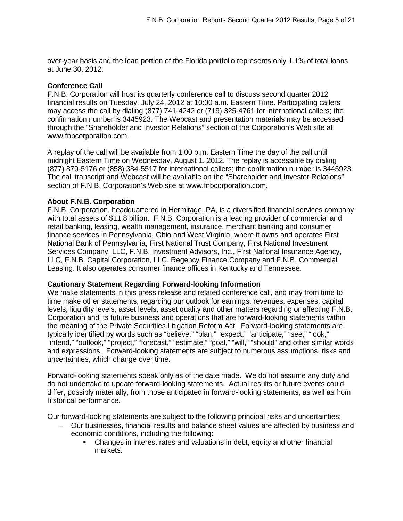over-year basis and the loan portion of the Florida portfolio represents only 1.1% of total loans at June 30, 2012.

## **Conference Call**

F.N.B. Corporation will host its quarterly conference call to discuss second quarter 2012 financial results on Tuesday, July 24, 2012 at 10:00 a.m. Eastern Time. Participating callers may access the call by dialing (877) 741-4242 or (719) 325-4761 for international callers; the confirmation number is 3445923. The Webcast and presentation materials may be accessed through the "Shareholder and Investor Relations" section of the Corporation's Web site at www.fnbcorporation.com.

A replay of the call will be available from 1:00 p.m. Eastern Time the day of the call until midnight Eastern Time on Wednesday, August 1, 2012. The replay is accessible by dialing (877) 870-5176 or (858) 384-5517 for international callers; the confirmation number is 3445923. The call transcript and Webcast will be available on the "Shareholder and Investor Relations" section of F.N.B. Corporation's Web site at [www.fnbcorporation.com.](http://www.fnbcorporation.com/)

## **About F.N.B. Corporation**

F.N.B. Corporation, headquartered in Hermitage, PA, is a diversified financial services company with total assets of \$11.8 billion. F.N.B. Corporation is a leading provider of commercial and retail banking, leasing, wealth management, insurance, merchant banking and consumer finance services in Pennsylvania, Ohio and West Virginia, where it owns and operates First National Bank of Pennsylvania, First National Trust Company, First National Investment Services Company, LLC, F.N.B. Investment Advisors, Inc., First National Insurance Agency, LLC, F.N.B. Capital Corporation, LLC, Regency Finance Company and F.N.B. Commercial Leasing. It also operates consumer finance offices in Kentucky and Tennessee.

## **Cautionary Statement Regarding Forward-looking Information**

We make statements in this press release and related conference call, and may from time to time make other statements, regarding our outlook for earnings, revenues, expenses, capital levels, liquidity levels, asset levels, asset quality and other matters regarding or affecting F.N.B. Corporation and its future business and operations that are forward-looking statements within the meaning of the Private Securities Litigation Reform Act. Forward-looking statements are typically identified by words such as "believe," "plan," "expect," "anticipate," "see," "look," "intend," "outlook," "project," "forecast," "estimate," "goal," "will," "should" and other similar words and expressions. Forward-looking statements are subject to numerous assumptions, risks and uncertainties, which change over time.

Forward-looking statements speak only as of the date made. We do not assume any duty and do not undertake to update forward-looking statements. Actual results or future events could differ, possibly materially, from those anticipated in forward-looking statements, as well as from historical performance.

Our forward-looking statements are subject to the following principal risks and uncertainties:

- − Our businesses, financial results and balance sheet values are affected by business and economic conditions, including the following:
	- Changes in interest rates and valuations in debt, equity and other financial markets.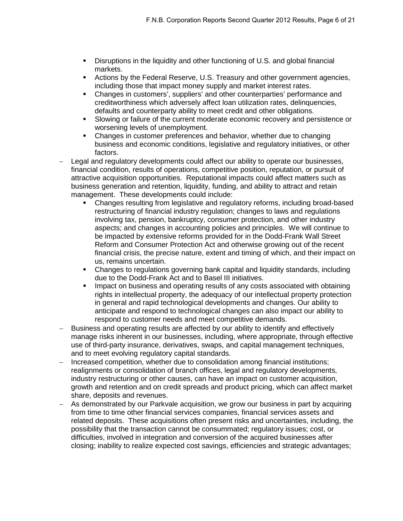- Disruptions in the liquidity and other functioning of U.S. and global financial markets.
- Actions by the Federal Reserve, U.S. Treasury and other government agencies, including those that impact money supply and market interest rates.
- Changes in customers', suppliers' and other counterparties' performance and creditworthiness which adversely affect loan utilization rates, delinquencies, defaults and counterparty ability to meet credit and other obligations.
- Slowing or failure of the current moderate economic recovery and persistence or worsening levels of unemployment.
- Changes in customer preferences and behavior, whether due to changing business and economic conditions, legislative and regulatory initiatives, or other factors.
- Legal and regulatory developments could affect our ability to operate our businesses, financial condition, results of operations, competitive position, reputation, or pursuit of attractive acquisition opportunities. Reputational impacts could affect matters such as business generation and retention, liquidity, funding, and ability to attract and retain management. These developments could include:
	- Changes resulting from legislative and regulatory reforms, including broad-based restructuring of financial industry regulation; changes to laws and regulations involving tax, pension, bankruptcy, consumer protection, and other industry aspects; and changes in accounting policies and principles. We will continue to be impacted by extensive reforms provided for in the Dodd-Frank Wall Street Reform and Consumer Protection Act and otherwise growing out of the recent financial crisis, the precise nature, extent and timing of which, and their impact on us, remains uncertain.
	- Changes to regulations governing bank capital and liquidity standards, including due to the Dodd-Frank Act and to Basel III initiatives.
	- **IMPACT ON BUS 2018 IMP** 1950 impact on business and operating results of any costs associated with obtaining rights in intellectual property, the adequacy of our intellectual property protection in general and rapid technological developments and changes. Our ability to anticipate and respond to technological changes can also impact our ability to respond to customer needs and meet competitive demands.
- Business and operating results are affected by our ability to identify and effectively manage risks inherent in our businesses, including, where appropriate, through effective use of third-party insurance, derivatives, swaps, and capital management techniques, and to meet evolving regulatory capital standards.
- − Increased competition, whether due to consolidation among financial institutions; realignments or consolidation of branch offices, legal and regulatory developments, industry restructuring or other causes, can have an impact on customer acquisition, growth and retention and on credit spreads and product pricing, which can affect market share, deposits and revenues.
- As demonstrated by our Parkvale acquisition, we grow our business in part by acquiring from time to time other financial services companies, financial services assets and related deposits. These acquisitions often present risks and uncertainties, including, the possibility that the transaction cannot be consummated; regulatory issues; cost, or difficulties, involved in integration and conversion of the acquired businesses after closing; inability to realize expected cost savings, efficiencies and strategic advantages;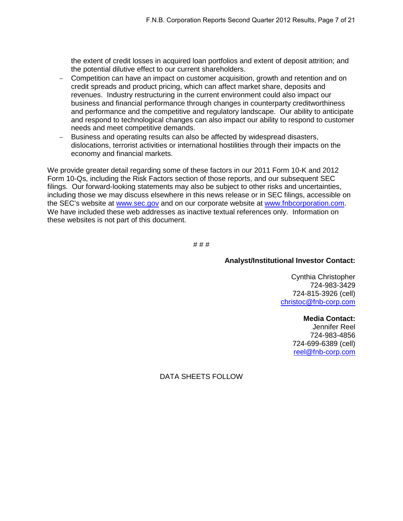the extent of credit losses in acquired loan portfolios and extent of deposit attrition; and the potential dilutive effect to our current shareholders.

- − Competition can have an impact on customer acquisition, growth and retention and on credit spreads and product pricing, which can affect market share, deposits and revenues. Industry restructuring in the current environment could also impact our business and financial performance through changes in counterparty creditworthiness and performance and the competitive and regulatory landscape. Our ability to anticipate and respond to technological changes can also impact our ability to respond to customer needs and meet competitive demands.
- − Business and operating results can also be affected by widespread disasters, dislocations, terrorist activities or international hostilities through their impacts on the economy and financial markets.

We provide greater detail regarding some of these factors in our 2011 Form 10-K and 2012 Form 10-Qs, including the Risk Factors section of those reports, and our subsequent SEC filings. Our forward-looking statements may also be subject to other risks and uncertainties, including those we may discuss elsewhere in this news release or in SEC filings, accessible on the SEC's website at [www.sec.gov](http://www.sec.gov/) and on our corporate website at [www.fnbcorporation.com.](http://www.fnbcorporation.com/) We have included these web addresses as inactive textual references only. Information on these websites is not part of this document.

# # #

## **Analyst/Institutional Investor Contact:**

Cynthia Christopher 724-983-3429 724-815-3926 (cell) [christoc@fnb-corp.com](mailto:christoc@fnb-corp.com)

**Media Contact:**

Jennifer Reel 724-983-4856 724-699-6389 (cell) [reel@fnb-corp.com](mailto:reel@fnb-corp.com)

DATA SHEETS FOLLOW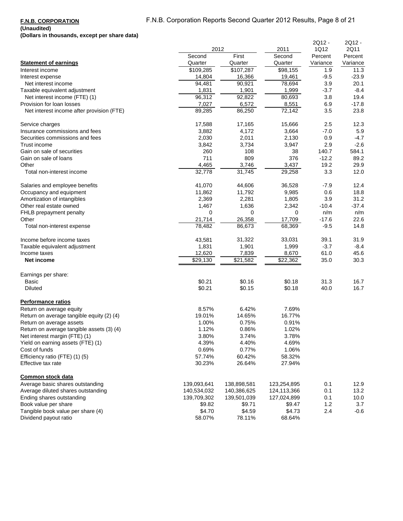## **(Unaudited)**

**(Dollars in thousands, except per share data)**

|                                           | 2012        |             | 2011        | 2Q12 -<br>1Q12 | 2Q12 -<br>2Q11 |
|-------------------------------------------|-------------|-------------|-------------|----------------|----------------|
|                                           | Second      | First       | Second      | Percent        | Percent        |
| <b>Statement of earnings</b>              | Quarter     | Quarter     | Quarter     | Variance       | Variance       |
| Interest income                           | \$109,285   | \$107,287   | \$98,155    | 1.9            | 11.3           |
| Interest expense                          | 14,804      | 16,366      | 19,461      | $-9.5$         | $-23.9$        |
| Net interest income                       | 94,481      | 90,921      | 78,694      | 3.9            | 20.1           |
| Taxable equivalent adjustment             | 1,831       | 1,901       | 1,999       | $-3.7$         | $-8.4$         |
| Net interest income (FTE) (1)             | 96,312      | 92,822      | 80,693      | 3.8            | 19.4           |
| Provision for loan losses                 | 7,027       | 6,572       | 8,551       | 6.9            | $-17.8$        |
| Net interest income after provision (FTE) | 89,285      | 86,250      | 72,142      | 3.5            | 23.8           |
| Service charges                           | 17,588      | 17,165      | 15,666      | 2.5            | 12.3           |
| Insurance commissions and fees            | 3,882       | 4,172       | 3,664       | $-7.0$         | 5.9            |
| Securities commissions and fees           | 2,030       | 2,011       | 2,130       | 0.9            | -4.7           |
| Trust income                              | 3,842       | 3,734       | 3,947       | 2.9            | $-2.6$         |
| Gain on sale of securities                | 260         | 108         | 38          | 140.7          | 584.1          |
| Gain on sale of loans                     | 711         | 809         | 376         | $-12.2$        | 89.2           |
| Other                                     | 4,465       | 3,746       | 3,437       | 19.2           | 29.9           |
| Total non-interest income                 | 32,778      | 31,745      | 29,258      | 3.3            | 12.0           |
| Salaries and employee benefits            | 41,070      | 44,606      | 36,528      | $-7.9$         | 12.4           |
| Occupancy and equipment                   | 11,862      | 11,792      | 9,985       | 0.6            | 18.8           |
| Amortization of intangibles               | 2,369       | 2,281       | 1,805       | 3.9            | 31.2           |
| Other real estate owned                   | 1,467       | 1,636       | 2,342       | $-10.4$        | $-37.4$        |
| FHLB prepayment penalty                   | 0           | 0           | 0           | n/m            | n/m            |
| Other                                     | 21,714      | 26,358      | 17,709      | $-17.6$        | 22.6           |
| Total non-interest expense                | 78,482      | 86,673      | 68,369      | $-9.5$         | 14.8           |
| Income before income taxes                | 43,581      | 31,322      | 33,031      | 39.1           | 31.9           |
| Taxable equivalent adjustment             | 1,831       | 1,901       | 1,999       | $-3.7$         | $-8.4$         |
| Income taxes                              | 12,620      | 7,839       | 8,670       | 61.0           | 45.6           |
| Net income                                | \$29,130    | \$21,582    | \$22,362    | 35.0           | 30.3           |
| Earnings per share:                       |             |             |             |                |                |
| Basic                                     | \$0.21      | \$0.16      | \$0.18      | 31.3           | 16.7           |
| <b>Diluted</b>                            | \$0.21      | \$0.15      | \$0.18      | 40.0           | 16.7           |
| <b>Performance ratios</b>                 |             |             |             |                |                |
| Return on average equity                  | 8.57%       | 6.42%       | 7.69%       |                |                |
| Return on average tangible equity (2) (4) | 19.01%      | 14.65%      | 16.77%      |                |                |
| Return on average assets                  | 1.00%       | 0.75%       | 0.91%       |                |                |
| Return on average tangible assets (3) (4) | 1.12%       | 0.86%       | 1.02%       |                |                |
| Net interest margin (FTE) (1)             | 3.80%       | 3.74%       | 3.78%       |                |                |
| Yield on earning assets (FTE) (1)         | 4.39%       | 4.40%       | 4.69%       |                |                |
| Cost of funds                             | 0.69%       | 0.77%       | 1.06%       |                |                |
| Efficiency ratio (FTE) (1) (5)            | 57.74%      | 60.42%      | 58.32%      |                |                |
| Effective tax rate                        | 30.23%      | 26.64%      | 27.94%      |                |                |
| <b>Common stock data</b>                  |             |             |             |                |                |
| Average basic shares outstanding          | 139,093,641 | 138,898,581 | 123,254,895 | 0.1            | 12.9           |
| Average diluted shares outstanding        | 140,534,032 | 140,386,625 | 124,113,366 | 0.1            | 13.2           |
| Ending shares outstanding                 | 139,709,302 | 139,501,039 | 127,024,899 | 0.1            | 10.0           |
| Book value per share                      | \$9.82      | \$9.71      | \$9.47      | 1.2            | 3.7            |
| Tangible book value per share (4)         | \$4.70      | \$4.59      | \$4.73      | 2.4            | $-0.6$         |
| Dividend payout ratio                     | 58.07%      | 78.11%      | 68.64%      |                |                |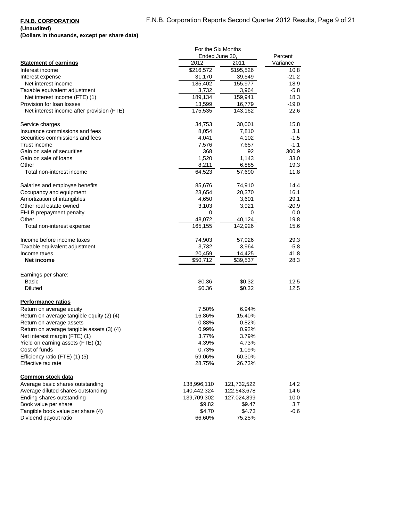## **(Unaudited)**

**(Dollars in thousands, except per share data)**

|                                           | For the Six Months |             |          |
|-------------------------------------------|--------------------|-------------|----------|
|                                           | Ended June 30.     |             | Percent  |
| <b>Statement of earnings</b>              | 2012               | 2011        | Variance |
| Interest income                           | \$216,572          | \$195,526   | 10.8     |
| Interest expense                          | 31,170             | 39,549      | -21.2    |
| Net interest income                       | 185,402            | 155,977     | 18.9     |
| Taxable equivalent adjustment             | 3,732              | 3,964       | $-5.8$   |
|                                           | 189,134            | 159,941     | 18.3     |
| Net interest income (FTE) (1)             |                    |             |          |
| Provision for loan losses                 | 13,599             | 16,779      | $-19.0$  |
| Net interest income after provision (FTE) | 175,535            | 143,162     | 22.6     |
| Service charges                           | 34,753             | 30,001      | 15.8     |
| Insurance commissions and fees            | 8,054              | 7,810       | 3.1      |
| Securities commissions and fees           | 4,041              | 4,102       | $-1.5$   |
| Trust income                              | 7,576              | 7,657       | $-1.1$   |
| Gain on sale of securities                | 368                | 92          | 300.9    |
| Gain on sale of loans                     | 1,520              | 1,143       | 33.0     |
| Other                                     | 8,211              | 6,885       | 19.3     |
| Total non-interest income                 | 64,523             | 57,690      | 11.8     |
|                                           |                    |             |          |
| Salaries and employee benefits            | 85,676             | 74,910      | 14.4     |
| Occupancy and equipment                   | 23,654             | 20,370      | 16.1     |
| Amortization of intangibles               | 4,650              | 3,601       | 29.1     |
| Other real estate owned                   | 3,103              | 3,921       | $-20.9$  |
| FHLB prepayment penalty                   | 0                  | 0           | 0.0      |
| Other                                     | 48,072             | 40,124      | 19.8     |
| Total non-interest expense                | 165,155            | 142,926     | 15.6     |
|                                           |                    |             |          |
| Income before income taxes                | 74,903             | 57,926      | 29.3     |
| Taxable equivalent adjustment             | 3,732              | 3,964       | $-5.8$   |
| Income taxes                              | 20,459             | 14,425      | 41.8     |
| Net income                                | \$50,712           | \$39,537    | 28.3     |
|                                           |                    |             |          |
| Earnings per share:                       | \$0.36             | \$0.32      |          |
| Basic                                     |                    |             | 12.5     |
| <b>Diluted</b>                            | \$0.36             | \$0.32      | 12.5     |
| <b>Performance ratios</b>                 |                    |             |          |
| Return on average equity                  | 7.50%              | 6.94%       |          |
| Return on average tangible equity (2) (4) | 16.86%             | 15.40%      |          |
| Return on average assets                  | 0.88%              | 0.82%       |          |
| Return on average tangible assets (3) (4) | 0.99%              | 0.92%       |          |
| Net interest margin (FTE) (1)             | 3.77%              | 3.79%       |          |
| Yield on earning assets (FTE) (1)         | 4.39%              | 4.73%       |          |
| Cost of funds                             | 0.73%              | 1.09%       |          |
|                                           |                    |             |          |
| Efficiency ratio (FTE) (1) (5)            | 59.06%             | 60.30%      |          |
| Effective tax rate                        | 28.75%             | 26.73%      |          |
| Common stock data                         |                    |             |          |
| Average basic shares outstanding          | 138,996,110        | 121,732,522 | 14.2     |
| Average diluted shares outstanding        | 140,442,324        | 122,543,678 | 14.6     |
| Ending shares outstanding                 | 139,709,302        | 127,024,899 | 10.0     |
| Book value per share                      | \$9.82             | \$9.47      | 3.7      |
| Tangible book value per share (4)         | \$4.70             | \$4.73      | -0.6     |
| Dividend payout ratio                     |                    | 75.25%      |          |
|                                           | 66.60%             |             |          |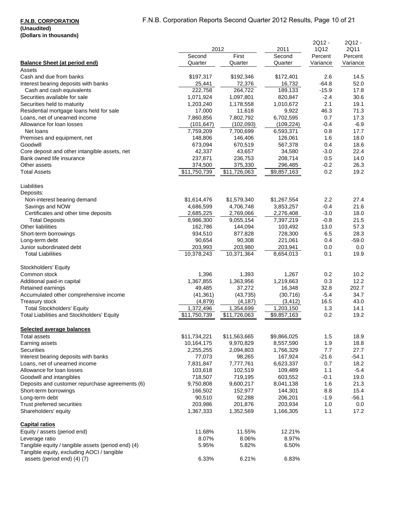## F.N.B. Corporation Reports Second Quarter 2012 Results, Page 10 of 21

## **F.N.B. CORPORATION**

| נטשטאטווי ווו פווטעשן                              |              |              |             |                |                |
|----------------------------------------------------|--------------|--------------|-------------|----------------|----------------|
|                                                    | 2012         |              | 2011        | 2Q12 -<br>1Q12 | 2Q12 -<br>2Q11 |
|                                                    | Second       | First        | Second      | Percent        | Percent        |
| <b>Balance Sheet (at period end)</b>               | Quarter      | Quarter      | Quarter     | Variance       | Variance       |
| Assets                                             |              |              |             |                |                |
| Cash and due from banks                            | \$197,317    | \$192,346    | \$172,401   | 2.6            | 14.5           |
| Interest bearing deposits with banks               | 25,441       | 72,376       | 16,732      | $-64.8$        | 52.0           |
| Cash and cash equivalents                          | 222,758      | 264,722      | 189,133     | $-15.9$        | 17.8           |
| Securities available for sale                      | 1,071,924    | 1,097,801    | 820,847     | $-2.4$         | 30.6           |
| Securities held to maturity                        | 1,203,240    | 1,178,558    | 1,010,672   | 2.1            | 19.1           |
| Residential mortgage loans held for sale           | 17,000       | 11,618       | 9,922       | 46.3           | 71.3           |
| Loans, net of unearned income                      | 7,860,856    | 7,802,792    | 6,702,595   | 0.7            | 17.3           |
| Allowance for loan losses                          | (101, 647)   | (102, 093)   | (109, 224)  | -0.4           | $-6.9$         |
| Net loans                                          | 7,759,209    | 7,700,699    | 6,593,371   | 0.8            | 17.7           |
| Premises and equipment, net                        | 148,806      | 146,406      | 126,061     | 1.6            | 18.0           |
| Goodwill                                           | 673,094      | 670,519      | 567,378     | 0.4            | 18.6           |
| Core deposit and other intangible assets, net      | 42,337       | 43,657       | 34,580      | -3.0           | 22.4           |
| Bank owned life insurance                          | 237,871      | 236,753      | 208,714     | 0.5            | 14.0           |
| Other assets                                       | 374,500      | 375,330      | 296,485     | $-0.2$         | 26.3           |
| <b>Total Assets</b>                                | \$11,750,739 | \$11,726,063 | \$9,857,163 | 0.2            | 19.2           |
|                                                    |              |              |             |                |                |
| Liabilities                                        |              |              |             |                |                |
| Deposits:                                          |              |              |             |                |                |
| Non-interest bearing demand                        | \$1,614,476  | \$1,579,340  | \$1,267,554 | 2.2            | 27.4           |
| Savings and NOW                                    | 4,686,599    | 4,706,748    | 3,853,257   | -0.4           | 21.6           |
| Certificates and other time deposits               | 2,685,225    | 2,769,066    | 2,276,408   | $-3.0$         | 18.0           |
| <b>Total Deposits</b>                              | 8,986,300    | 9,055,154    | 7,397,219   | $-0.8$         | 21.5           |
| Other liabilities                                  | 162,786      | 144,094      | 103,492     | 13.0           | 57.3           |
| Short-term borrowings                              | 934,510      | 877,828      | 728,300     | 6.5            | 28.3           |
| Long-term debt                                     | 90,654       | 90,308       | 221,061     | 0.4            | $-59.0$        |
| Junior subordinated debt                           | 203,993      | 203,980      | 203,941     | 0.0            | 0.0            |
| <b>Total Liabilities</b>                           | 10,378,243   | 10,371,364   | 8,654,013   | 0.1            | 19.9           |
|                                                    |              |              |             |                |                |
| Stockholders' Equity                               |              |              |             |                |                |
| Common stock                                       | 1,396        | 1,393        | 1,267       | 0.2            | 10.2           |
| Additional paid-in capital                         | 1,367,855    | 1,363,956    | 1,219,663   | 0.3            | 12.2           |
| Retained earnings                                  | 49,485       | 37,272       | 16,348      | 32.8           | 202.7          |
| Accumulated other comprehensive income             | (41, 361)    | (43, 735)    | (30, 716)   | $-5.4$         | 34.7           |
| Treasury stock                                     | (4,879)      | (4, 187)     | (3, 412)    | 16.5           | 43.0           |
| <b>Total Stockholders' Equity</b>                  | 1,372,496    | 1,354,699    | 1,203,150   | 1.3            | 14.1           |
| Total Liabilities and Stockholders' Equity         | \$11,750,739 | \$11,726,063 | \$9,857,163 | 0.2            | 19.2           |
|                                                    |              |              |             |                |                |
| <b>Selected average balances</b>                   |              |              |             |                |                |
| <b>Total assets</b>                                | \$11,734,221 | \$11,563,665 | \$9,866,025 | 1.5            | 18.9           |
| Earning assets                                     | 10,164,175   | 9,970,829    | 8,557,590   | 1.9            | 18.8           |
| <b>Securities</b>                                  | 2,255,255    | 2,094,803    | 1,766,329   | 7.7            | 27.7           |
| Interest bearing deposits with banks               | 77,073       | 98,265       | 167,924     | $-21.6$        | $-54.1$        |
| Loans, net of unearned income                      | 7,831,847    | 7,777,761    | 6,623,337   | 0.7            | 18.2           |
| Allowance for loan losses                          | 103,618      | 102,519      | 109,489     | 1.1            | $-5.4$         |
| Goodwill and intangibles                           | 718,507      | 719,195      | 603,552     | $-0.1$         | 19.0           |
| Deposits and customer repurchase agreements (6)    | 9,750,808    | 9,600,217    | 8,041,138   | 1.6            | 21.3           |
| Short-term borrowings                              | 166,502      | 152,977      | 144,301     | 8.8            | 15.4           |
| Long-term debt                                     | 90,510       | 92,288       | 206,201     | $-1.9$         | $-56.1$        |
| Trust preferred securities                         | 203,986      | 201,876      | 203,934     | 1.0            | 0.0            |
| Shareholders' equity                               | 1,367,333    | 1,352,569    | 1,166,305   | 1.1            | 17.2           |
|                                                    |              |              |             |                |                |
| <b>Capital ratios</b>                              |              |              |             |                |                |
| Equity / assets (period end)                       | 11.68%       | 11.55%       | 12.21%      |                |                |
| Leverage ratio                                     | 8.07%        | 8.06%        | 8.97%       |                |                |
| Tangible equity / tangible assets (period end) (4) | 5.95%        | 5.82%        | 6.50%       |                |                |
| Tangible equity, excluding AOCI / tangible         |              |              |             |                |                |
| assets (period end) (4) (7)                        | 6.33%        | 6.21%        | 6.83%       |                |                |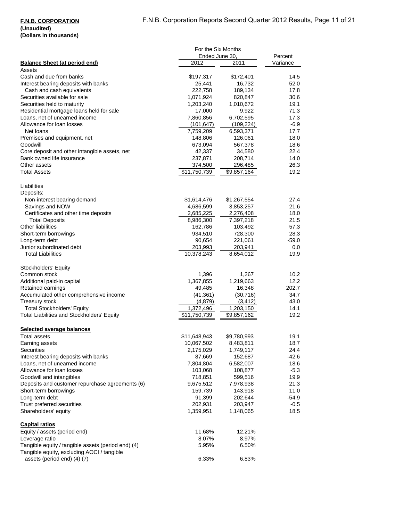|                                                    | For the Six Months   |                      |              |  |
|----------------------------------------------------|----------------------|----------------------|--------------|--|
|                                                    | Ended June 30.       |                      | Percent      |  |
| <b>Balance Sheet (at period end)</b>               | 2012                 | 2011                 | Variance     |  |
| Assets                                             |                      |                      |              |  |
| Cash and due from banks                            | \$197,317            | \$172,401            | 14.5         |  |
| Interest bearing deposits with banks               | 25,441               | 16,732               | 52.0         |  |
| Cash and cash equivalents                          | 222,758              | 189,134              | 17.8         |  |
| Securities available for sale                      | 1,071,924            | 820,847              | 30.6         |  |
| Securities held to maturity                        | 1,203,240            | 1,010,672            | 19.1         |  |
| Residential mortgage loans held for sale           | 17,000               | 9,922                | 71.3         |  |
| Loans, net of unearned income                      | 7,860,856            | 6,702,595            | 17.3         |  |
| Allowance for loan losses                          | (101, 647)           | (109, 224)           | $-6.9$       |  |
| Net loans<br>Premises and equipment, net           | 7,759,209<br>148,806 | 6,593,371<br>126,061 | 17.7<br>18.0 |  |
| Goodwill                                           | 673,094              | 567,378              | 18.6         |  |
| Core deposit and other intangible assets, net      | 42,337               | 34,580               | 22.4         |  |
| Bank owned life insurance                          | 237,871              | 208,714              | 14.0         |  |
| Other assets                                       | 374,500              | 296,485              | 26.3         |  |
| <b>Total Assets</b>                                | \$11,750,739         | \$9,857,164          | 19.2         |  |
|                                                    |                      |                      |              |  |
| Liabilities                                        |                      |                      |              |  |
| Deposits:                                          |                      |                      |              |  |
| Non-interest bearing demand                        | \$1,614,476          | \$1,267,554          | 27.4         |  |
| Savings and NOW                                    | 4,686,599            | 3,853,257            | 21.6         |  |
| Certificates and other time deposits               | 2,685,225            | 2,276,408            | 18.0         |  |
| <b>Total Deposits</b>                              | 8,986,300            | 7,397,218            | 21.5         |  |
| Other liabilities                                  | 162,786              | 103,492              | 57.3         |  |
| Short-term borrowings                              | 934,510              | 728,300              | 28.3         |  |
| Long-term debt                                     | 90,654               | 221,061              | $-59.0$      |  |
| Junior subordinated debt                           | 203,993              | 203,941              | 0.0          |  |
| <b>Total Liabilities</b>                           | 10,378,243           | 8,654,012            | 19.9         |  |
|                                                    |                      |                      |              |  |
| Stockholders' Equity                               |                      |                      |              |  |
| Common stock                                       | 1,396                | 1,267                | 10.2         |  |
| Additional paid-in capital                         | 1,367,855            | 1,219,663            | 12.2         |  |
| Retained earnings                                  | 49,485               | 16,348               | 202.7        |  |
| Accumulated other comprehensive income             | (41, 361)            | (30, 716)            | 34.7         |  |
| Treasury stock                                     | (4,879)              | (3, 412)             | 43.0         |  |
| <b>Total Stockholders' Equity</b>                  | 1,372,496            | 1,203,150            | 14.1         |  |
| Total Liabilities and Stockholders' Equity         | \$11,750,739         | \$9,857,162          | 19.2         |  |
|                                                    |                      |                      |              |  |
| <b>Selected average balances</b>                   |                      |                      |              |  |
| Total assets                                       | \$11,648,943         | \$9,780,993          | 19.1         |  |
| Earning assets                                     | 10,067,502           | 8,483,811            | 18.7         |  |
| Securities                                         | 2,175,029            | 1,749,117            | 24.4         |  |
| Interest bearing deposits with banks               | 87,669               | 152,687              | $-42.6$      |  |
| Loans, net of unearned income                      | 7,804,804            | 6,582,007            | 18.6         |  |
| Allowance for loan losses                          | 103,068              | 108,877              | $-5.3$       |  |
| Goodwill and intangibles                           | 718,851              | 599,516              | 19.9         |  |
| Deposits and customer repurchase agreements (6)    | 9,675,512<br>159,739 | 7,978,938<br>143,918 | 21.3<br>11.0 |  |
| Short-term borrowings<br>Long-term debt            |                      |                      | $-54.9$      |  |
| Trust preferred securities                         | 91,399<br>202,931    | 202,644<br>203,947   | $-0.5$       |  |
|                                                    | 1,359,951            | 1,148,065            | 18.5         |  |
| Shareholders' equity                               |                      |                      |              |  |
| <b>Capital ratios</b>                              |                      |                      |              |  |
| Equity / assets (period end)                       | 11.68%               | 12.21%               |              |  |
| Leverage ratio                                     | 8.07%                | 8.97%                |              |  |
| Tangible equity / tangible assets (period end) (4) | 5.95%                | 6.50%                |              |  |
| Tangible equity, excluding AOCI / tangible         |                      |                      |              |  |
| assets (period end) (4) (7)                        | 6.33%                | 6.83%                |              |  |
|                                                    |                      |                      |              |  |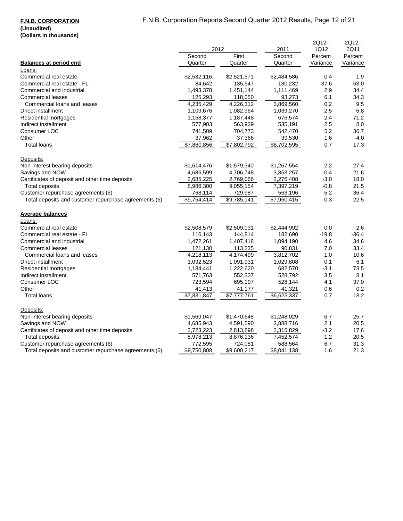# F.N.B. Corporation Reports Second Quarter 2012 Results, Page 12 of 21

# **F.N.B. CORPORATION**

|                                                       | 2012                |             | 2011        | 2Q12 -<br>1Q12 | 2Q12 -<br>2Q11 |
|-------------------------------------------------------|---------------------|-------------|-------------|----------------|----------------|
|                                                       | Second              | First       | Second      | Percent        | Percent        |
| <b>Balances at period end</b>                         | Quarter             | Quarter     | Quarter     | Variance       | Variance       |
| Loans:                                                |                     |             |             |                |                |
| Commercial real estate                                | \$2,532,116         | \$2,521,571 | \$2,484,586 | 0.4            | 1.9            |
| Commercial real estate - FL                           | 84,642              | 135,547     | 180,232     | $-37.6$        | $-53.0$        |
| Commercial and industrial                             | 1,493,378           | 1,451,144   | 1,111,469   | 2.9            | 34.4           |
| <b>Commercial leases</b>                              | 125,293             | 118,050     | 93,273      | 6.1            | 34.3           |
| Commercial loans and leases                           | 4,235,429           | 4,226,312   | 3,869,560   | 0.2            | 9.5            |
| Direct installment                                    | 1,109,676           | 1,082,964   | 1,039,270   | 2.5            | 6.8            |
| Residential mortgages                                 | 1,158,377           | 1,187,448   | 676,574     | $-2.4$         | 71.2           |
| Indirect installment                                  | 577,903             | 563,929     | 535,191     | 2.5            | 8.0            |
| Consumer LOC                                          | 741,509             | 704,773     | 542,470     | 5.2            | 36.7           |
| Other                                                 | 37,962              | 37,366      | 39,530      | 1.6            | $-4.0$         |
| <b>Total loans</b>                                    | \$7,860,856         | \$7,802,792 | \$6,702,595 | 0.7            | 17.3           |
| Deposits:                                             |                     |             |             |                |                |
| Non-interest bearing deposits                         | \$1,614,476         | \$1,579,340 | \$1,267,554 | 2.2            | 27.4           |
| Savings and NOW                                       | 4,686,599           | 4,706,748   | 3,853,257   | $-0.4$         | 21.6           |
| Certificates of deposit and other time deposits       | 2,685,225           | 2,769,066   | 2,276,408   | $-3.0$         | 18.0           |
| <b>Total deposits</b>                                 | 8,986,300           | 9,055,154   | 7,397,219   | $-0.8$         | 21.5           |
| Customer repurchase agreements (6)                    | 768,114             | 729,987     | 563,196     | 5.2            | 36.4           |
| Total deposits and customer repurchase agreements (6) | $\sqrt{59,754,4}14$ | \$9,785,141 | \$7,960,415 | $-0.3$         | 22.5           |
| <b>Average balances</b>                               |                     |             |             |                |                |
| Loans:                                                |                     |             |             |                |                |
| Commercial real estate                                | \$2,508,579         | \$2,509,031 | \$2,444,992 | 0.0            | 2.6            |
| Commercial real estate - FL                           | 116,143             | 144,814     | 182,690     | $-19.8$        | $-36.4$        |
| Commercial and industrial                             | 1,472,261           | 1,407,418   | 1,094,190   | 4.6            | 34.6           |
| <b>Commercial leases</b>                              | 121,130             | 113,235     | 90,831      | 7.0            | 33.4           |
| Commercial loans and leases                           | 4,218,113           | 4,174,499   | 3,812,702   | 1.0            | 10.6           |
| Direct installment                                    | 1,092,523           | 1,091,931   | 1,029,808   | 0.1            | 6.1            |
| Residential mortgages                                 | 1,184,441           | 1,222,620   | 682,570     | $-3.1$         | 73.5           |
| Indirect installment                                  | 571,763             | 552,337     | 528,792     | 3.5            | 8.1            |
| Consumer LOC                                          | 723,594             | 695,197     | 528,144     | 4.1            | 37.0           |
| Other                                                 | 41,413              | 41,177      | 41,321      | 0.6            | 0.2            |
| <b>Total loans</b>                                    | \$7,831,847         | \$7,777,761 | \$6,623,337 | 0.7            | 18.2           |
| Deposits:                                             |                     |             |             |                |                |
| Non-interest bearing deposits                         | \$1,569,047         | \$1,470,648 | \$1,248,029 | 6.7            | 25.7           |
| Savings and NOW                                       | 4,685,943           | 4,591,590   | 3,888,716   | 2.1            | 20.5           |
| Certificates of deposit and other time deposits       | 2,723,223           | 2,813,898   | 2,315,829   | $-3.2$         | 17.6           |
| <b>Total deposits</b>                                 | 8,978,213           | 8,876,136   | 7,452,574   | 1.2            | 20.5           |
| Customer repurchase agreements (6)                    | 772,595             | 724,081     | 588,564     | 6.7            | 31.3           |
| Total deposits and customer repurchase agreements (6) | \$9,750,808         | \$9,600,217 | \$8,041,138 | 1.6            | 21.3           |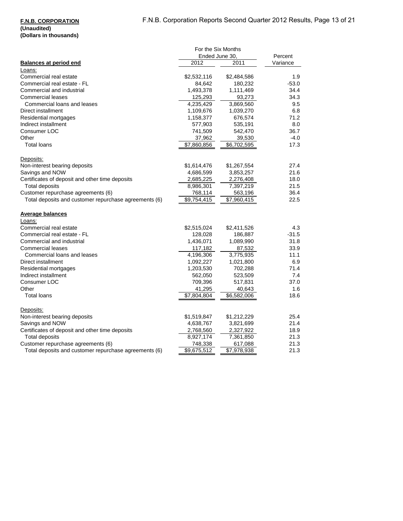#### **F.N.B. CORPORATION (Unaudited)**

# **(Dollars in thousands)**

|                                                       | For the Six Months |                         |          |  |
|-------------------------------------------------------|--------------------|-------------------------|----------|--|
|                                                       | Ended June 30.     |                         | Percent  |  |
| <b>Balances at period end</b>                         | 2012               | 2011                    | Variance |  |
| Loans:                                                |                    |                         |          |  |
| Commercial real estate                                | \$2,532,116        | \$2,484,586             | 1.9      |  |
| Commercial real estate - FL                           | 84,642             | 180,232                 | $-53.0$  |  |
| Commercial and industrial                             | 1,493,378          | 1,111,469               | 34.4     |  |
| <b>Commercial leases</b>                              | 125,293            | 93,273                  | 34.3     |  |
| Commercial loans and leases                           | 4,235,429          | 3,869,560               | 9.5      |  |
| Direct installment                                    | 1,109,676          | 1,039,270               | 6.8      |  |
| Residential mortgages                                 | 1,158,377          | 676,574                 | 71.2     |  |
| Indirect installment                                  | 577,903            | 535,191                 | 8.0      |  |
| Consumer LOC                                          | 741,509            | 542,470                 | 36.7     |  |
| Other                                                 | 37,962             | 39,530                  | $-4.0$   |  |
| <b>Total loans</b>                                    | \$7,860,856        | \$6,702,595             | 17.3     |  |
| Deposits:                                             |                    |                         |          |  |
| Non-interest bearing deposits                         | \$1,614,476        | \$1,267,554             | 27.4     |  |
| Savings and NOW                                       | 4,686,599          | 3,853,257               | 21.6     |  |
| Certificates of deposit and other time deposits       | 2,685,225          | 2,276,408               | 18.0     |  |
| <b>Total deposits</b>                                 | 8,986,301          | 7,397,219               | 21.5     |  |
| Customer repurchase agreements (6)                    | 768,114            | 563,196                 | 36.4     |  |
| Total deposits and customer repurchase agreements (6) | \$9,754,415        | $\overline{$7,960,415}$ | 22.5     |  |
| <b>Average balances</b>                               |                    |                         |          |  |
| Loans:                                                |                    |                         |          |  |
| Commercial real estate                                | \$2,515,024        | \$2,411,526             | 4.3      |  |
| Commercial real estate - FL                           | 128,028            | 186,887                 | $-31.5$  |  |
| Commercial and industrial                             | 1,436,071          | 1,089,990               | 31.8     |  |
| <b>Commercial leases</b>                              | 117,182            | 87,532                  | 33.9     |  |
| Commercial loans and leases                           | 4,196,306          | 3,775,935               | 11.1     |  |
| Direct installment                                    | 1,092,227          | 1,021,800               | 6.9      |  |
| Residential mortgages                                 | 1,203,530          | 702,288                 | 71.4     |  |
| Indirect installment                                  | 562,050            | 523,509                 | 7.4      |  |
| Consumer LOC                                          | 709,396            | 517,831                 | 37.0     |  |
| Other                                                 | 41,295             | 40,643                  | 1.6      |  |
| <b>Total loans</b>                                    | \$7,804,804        | \$6,582,006             | 18.6     |  |
| Deposits:                                             |                    |                         |          |  |
| Non-interest bearing deposits                         | \$1,519,847        | \$1,212,229             | 25.4     |  |
| Savings and NOW                                       | 4,638,767          | 3,821,699               | 21.4     |  |
| Certificates of deposit and other time deposits       | 2,768,560          | 2,327,922               | 18.9     |  |
| <b>Total deposits</b>                                 | 8,927,174          | 7,361,850               | 21.3     |  |
| Customer repurchase agreements (6)                    | 748,338            | 617,088                 | 21.3     |  |
| Total deposits and customer repurchase agreements (6) | \$9,675,512        | \$7,978,938             | 21.3     |  |
|                                                       |                    |                         |          |  |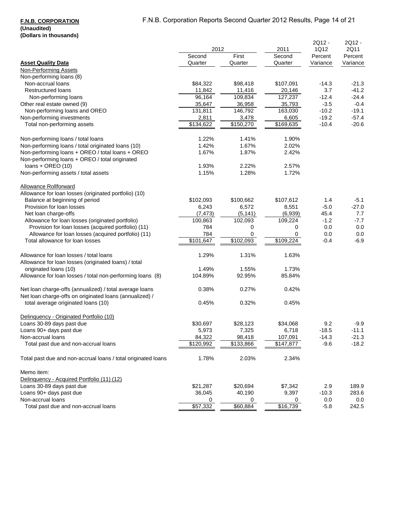### **F.N.B. CORPORATION (Unaudited) (Dollars in thousands)**

|                                                                                                                    |                |           |                       | 2Q12 -              | 2Q12 -          |
|--------------------------------------------------------------------------------------------------------------------|----------------|-----------|-----------------------|---------------------|-----------------|
|                                                                                                                    | 2012<br>Second | First     | 2011                  | 1Q12                | 2Q11<br>Percent |
| <b>Asset Quality Data</b>                                                                                          | Quarter        | Quarter   | Second<br>Quarter     | Percent<br>Variance | Variance        |
| <b>Non-Performing Assets</b>                                                                                       |                |           |                       |                     |                 |
| Non-performing loans (8)                                                                                           |                |           |                       |                     |                 |
| Non-accrual loans                                                                                                  | \$84,322       | \$98,418  | \$107,091             | $-14.3$             | $-21.3$         |
| <b>Restructured loans</b>                                                                                          | 11,842         | 11,416    | 20,146                | 3.7                 | $-41.2$         |
| Non-performing loans                                                                                               | 96,164         | 109,834   | 127,237               | $-12.4$             | $-24.4$         |
| Other real estate owned (9)                                                                                        | 35,647         | 36,958    | 35,793                | $-3.5$              | $-0.4$          |
| Non-performing loans and OREO                                                                                      | 131,811        | 146,792   | 163,030               | $-10.2$             | $-19.1$         |
| Non-performing investments                                                                                         | 2,811          | 3,478     | 6,605                 | $-19.2$             | $-57.4$         |
| Total non-performing assets                                                                                        | \$134,622      | \$150,270 | $\overline{$}169,635$ | $-10.4$             | $-20.6$         |
| Non-performing loans / total loans                                                                                 | 1.22%          | 1.41%     | 1.90%                 |                     |                 |
| Non-performing loans / total originated loans (10)                                                                 | 1.42%          | 1.67%     | 2.02%                 |                     |                 |
| Non-performing loans + OREO / total loans + OREO<br>Non-performing loans + OREO / total originated                 | 1.67%          | 1.87%     | 2.42%                 |                     |                 |
| loans + OREO (10)                                                                                                  | 1.93%          | 2.22%     | 2.57%                 |                     |                 |
| Non-performing assets / total assets                                                                               | 1.15%          | 1.28%     | 1.72%                 |                     |                 |
| Allowance Rollforward                                                                                              |                |           |                       |                     |                 |
| Allowance for loan losses (originated portfolio) (10)                                                              |                |           |                       |                     |                 |
| Balance at beginning of period                                                                                     | \$102,093      | \$100,662 | \$107,612             | 1.4                 | $-5.1$          |
| Provision for loan losses                                                                                          | 6,243          | 6,572     | 8,551                 | $-5.0$              | $-27.0$         |
| Net loan charge-offs                                                                                               | (7, 473)       | (5, 141)  | (6,939)               | 45.4                | 7.7             |
| Allowance for loan losses (originated portfolio)                                                                   | 100,863        | 102,093   | 109,224               | $-1.2$              | $-7.7$          |
| Provision for loan losses (acquired portfolio) (11)                                                                | 784            | 0         | 0                     | 0.0                 | 0.0             |
| Allowance for loan losses (acquired portfolio) (11)                                                                | 784            | 0         | 0<br>\$109,224        | 0.0                 | 0.0             |
| Total allowance for loan losses                                                                                    | \$101,647      | \$102,093 |                       | $-0.4$              | $-6.9$          |
| Allowance for loan losses / total loans<br>Allowance for loan losses (originated loans) / total                    | 1.29%          | 1.31%     | 1.63%                 |                     |                 |
| originated loans (10)                                                                                              | 1.49%          | 1.55%     | 1.73%                 |                     |                 |
| Allowance for loan losses / total non-performing loans (8)                                                         | 104.89%        | 92.95%    | 85.84%                |                     |                 |
| Net loan charge-offs (annualized) / total average loans<br>Net loan charge-offs on originated loans (annualized) / | 0.38%          | 0.27%     | 0.42%                 |                     |                 |
| total average originated loans (10)                                                                                | 0.45%          | 0.32%     | 0.45%                 |                     |                 |
| Delinquency - Originated Portfolio (10)                                                                            |                |           |                       |                     |                 |
| Loans 30-89 days past due                                                                                          | \$30,697       | \$28,123  | \$34,068              | 9.2                 | $-9.9$          |
| Loans 90+ days past due                                                                                            | 5,973          | 7,325     | 6,718                 | $-18.5$             | $-11.1$         |
| Non-accrual loans                                                                                                  | 84,322         | 98,418    | 107,091               | $-14.3$             | $-21.3$         |
| Total past due and non-accrual loans                                                                               | \$120,992      | \$133,866 | \$147,877             | $-9.6$              | $-18.2$         |
| Total past due and non-accrual loans / total originated loans                                                      | 1.78%          | 2.03%     | 2.34%                 |                     |                 |
| Memo item:                                                                                                         |                |           |                       |                     |                 |
| Delinquency - Acquired Portfolio (11) (12)                                                                         |                |           |                       |                     |                 |
| Loans 30-89 days past due                                                                                          | \$21,287       | \$20,694  | \$7,342               | 2.9                 | 189.9           |
| Loans 90+ days past due                                                                                            | 36,045         | 40,190    | 9,397                 | $-10.3$             | 283.6           |
| Non-accrual loans                                                                                                  | 0              | 0         | 0                     | 0.0                 | 0.0             |
| Total past due and non-accrual loans                                                                               | \$57,332       | \$60,884  | \$16,739              | $-5.8$              | 242.5           |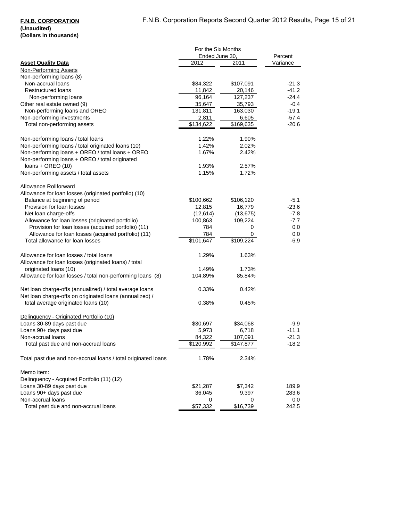### **F.N.B. CORPORATION (Unaudited) (Dollars in thousands)**

|                                                                                                                    | For the Six Months |           |          |  |
|--------------------------------------------------------------------------------------------------------------------|--------------------|-----------|----------|--|
|                                                                                                                    | Ended June 30,     |           | Percent  |  |
| <b>Asset Quality Data</b>                                                                                          | 2012               | 2011      | Variance |  |
| <b>Non-Performing Assets</b>                                                                                       |                    |           |          |  |
| Non-performing loans (8)                                                                                           |                    |           |          |  |
| Non-accrual loans                                                                                                  | \$84,322           | \$107,091 | $-21.3$  |  |
| <b>Restructured loans</b>                                                                                          | 11,842             | 20,146    | $-41.2$  |  |
| Non-performing loans                                                                                               | 96,164             | 127,237   | -24.4    |  |
| Other real estate owned (9)                                                                                        | 35,647             | 35,793    | $-0.4$   |  |
| Non-performing loans and OREO                                                                                      | 131,811            | 163,030   | $-19.1$  |  |
| Non-performing investments                                                                                         | 2,811              | 6,605     | $-57.4$  |  |
| Total non-performing assets                                                                                        | \$134,622          | \$169,635 | $-20.6$  |  |
| Non-performing loans / total loans                                                                                 | 1.22%              | 1.90%     |          |  |
| Non-performing loans / total originated loans (10)                                                                 | 1.42%              | 2.02%     |          |  |
| Non-performing loans + OREO / total loans + OREO<br>Non-performing loans + OREO / total originated                 | 1.67%              | 2.42%     |          |  |
| loans + OREO (10)                                                                                                  | 1.93%              | 2.57%     |          |  |
| Non-performing assets / total assets                                                                               | 1.15%              | 1.72%     |          |  |
| <b>Allowance Rollforward</b>                                                                                       |                    |           |          |  |
| Allowance for loan losses (originated portfolio) (10)                                                              |                    |           |          |  |
| Balance at beginning of period                                                                                     | \$100,662          | \$106,120 | $-5.1$   |  |
| Provision for loan losses                                                                                          | 12,815             | 16,779    | $-23.6$  |  |
| Net loan charge-offs                                                                                               | (12, 614)          | (13, 675) | -7.8     |  |
| Allowance for loan losses (originated portfolio)                                                                   | 100,863            | 109,224   | $-7.7$   |  |
| Provision for loan losses (acquired portfolio) (11)                                                                | 784                | 0         | 0.0      |  |
| Allowance for loan losses (acquired portfolio) (11)                                                                | 784                | 0         | 0.0      |  |
| Total allowance for loan losses                                                                                    | \$101,647          | \$109,224 | -6.9     |  |
| Allowance for loan losses / total loans<br>Allowance for loan losses (originated loans) / total                    | 1.29%              | 1.63%     |          |  |
| originated loans (10)                                                                                              | 1.49%              | 1.73%     |          |  |
| Allowance for loan losses / total non-performing loans (8)                                                         | 104.89%            | 85.84%    |          |  |
| Net loan charge-offs (annualized) / total average loans<br>Net loan charge-offs on originated loans (annualized) / | 0.33%              | 0.42%     |          |  |
| total average originated loans (10)                                                                                | 0.38%              | 0.45%     |          |  |
| Delinquency - Originated Portfolio (10)                                                                            |                    |           |          |  |
| Loans 30-89 days past due                                                                                          | \$30,697           | \$34,068  | -9.9     |  |
| Loans 90+ days past due                                                                                            | 5,973              | 6,718     | $-11.1$  |  |
| Non-accrual loans                                                                                                  | 84.322             | 107.091   | $-21.3$  |  |
| Total past due and non-accrual loans                                                                               | \$120,992          | \$147,877 | $-18.2$  |  |
| Total past due and non-accrual loans / total originated loans                                                      | 1.78%              | 2.34%     |          |  |
| Memo item:                                                                                                         |                    |           |          |  |
| Delinquency - Acquired Portfolio (11) (12)                                                                         |                    |           |          |  |
| Loans 30-89 days past due                                                                                          | \$21,287           | \$7,342   | 189.9    |  |
| Loans 90+ days past due                                                                                            | 36,045             | 9,397     | 283.6    |  |
| Non-accrual loans                                                                                                  | 0                  | 0         | 0.0      |  |
| Total past due and non-accrual loans                                                                               | \$57,332           | \$16,739  | 242.5    |  |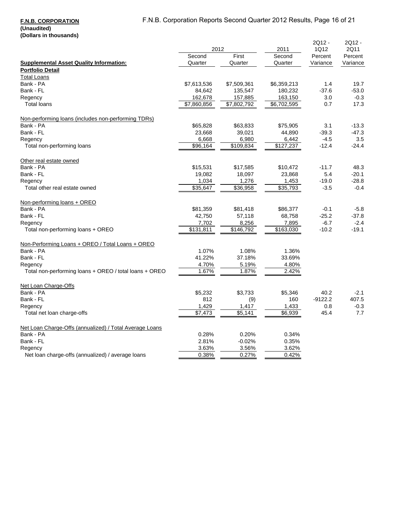|                                                         | 2012        |             | 2011                 | 2Q12 -<br>1Q12 | 2Q12 -<br>2Q11 |
|---------------------------------------------------------|-------------|-------------|----------------------|----------------|----------------|
|                                                         | Second      | First       | Second               | Percent        | Percent        |
| <b>Supplemental Asset Quality Information:</b>          | Quarter     | Quarter     | Quarter              | Variance       | Variance       |
| <b>Portfolio Detail</b>                                 |             |             |                      |                |                |
| <b>Total Loans</b>                                      |             |             |                      |                |                |
| Bank - PA                                               | \$7,613,536 | \$7,509,361 | \$6,359,213          | 1.4            | 19.7           |
| Bank - FL                                               | 84,642      | 135,547     | 180,232              | $-37.6$        | $-53.0$        |
| Regency                                                 | 162,678     | 157,885     | 163,150              | 3.0            | $-0.3$         |
| <b>Total loans</b>                                      | \$7,860,856 | \$7,802,792 | \$6,702,595          | 0.7            | 17.3           |
| Non-performing loans (includes non-performing TDRs)     |             |             |                      |                |                |
| Bank - PA                                               | \$65,828    | \$63,833    | \$75,905             | 3.1            | $-13.3$        |
| Bank - FL                                               | 23,668      | 39,021      | 44,890               | $-39.3$        | $-47.3$        |
| Regency                                                 | 6,668       | 6,980       | 6,442                | $-4.5$         | 3.5            |
| Total non-performing loans                              | \$96,164    | \$109,834   | \$127,237            | $-12.4$        | $-24.4$        |
| Other real estate owned                                 |             |             |                      |                |                |
| Bank - PA                                               | \$15,531    | \$17,585    | \$10,472             | $-11.7$        | 48.3           |
| Bank - FL                                               | 19,082      | 18,097      | 23,868               | 5.4            | $-20.1$        |
| Regency                                                 | 1,034       | 1,276       | 1,453                | $-19.0$        | $-28.8$        |
| Total other real estate owned                           | 35,647      | 36,958      | $\overline{$35,793}$ | $-3.5$         | $-0.4$         |
| Non-performing loans + OREO                             |             |             |                      |                |                |
| Bank - PA                                               | \$81,359    | \$81,418    | \$86,377             | $-0.1$         | -5.8           |
| Bank - FL                                               | 42,750      | 57,118      | 68,758               | $-25.2$        | $-37.8$        |
| Regency                                                 | 7,702       | 8,256       | 7,895                | $-6.7$         | $-2.4$         |
| Total non-performing loans + OREO                       | \$131,811   | \$146,792   | \$163,030            | $-10.2$        | $-19.1$        |
| Non-Performing Loans + OREO / Total Loans + OREO        |             |             |                      |                |                |
| Bank - PA                                               | 1.07%       | 1.08%       | 1.36%                |                |                |
| Bank - FL                                               | 41.22%      | 37.18%      | 33.69%               |                |                |
| Regency                                                 | 4.70%       | 5.19%       | 4.80%                |                |                |
| Total non-performing loans + OREO / total loans + OREO  | 1.67%       | 1.87%       | 2.42%                |                |                |
| Net Loan Charge-Offs                                    |             |             |                      |                |                |
| Bank - PA                                               | \$5,232     | \$3,733     | \$5,346              | 40.2           | $-2.1$         |
| Bank - FL                                               | 812         | (9)         | 160                  | $-9122.2$      | 407.5          |
| Regency                                                 | 1,429       | 1,417       | 1,433                | 0.8            | $-0.3$         |
| Total net loan charge-offs                              | \$7,473     | \$5,141     | \$6,939              | 45.4           | 7.7            |
| Net Loan Charge-Offs (annualized) / Total Average Loans |             |             |                      |                |                |
| Bank - PA                                               | 0.28%       | 0.20%       | 0.34%                |                |                |
| Bank - FL                                               | 2.81%       | $-0.02%$    | 0.35%                |                |                |
| Regency                                                 | 3.63%       | 3.56%       | 3.62%                |                |                |
| Net loan charge-offs (annualized) / average loans       | 0.38%       | 0.27%       | 0.42%                |                |                |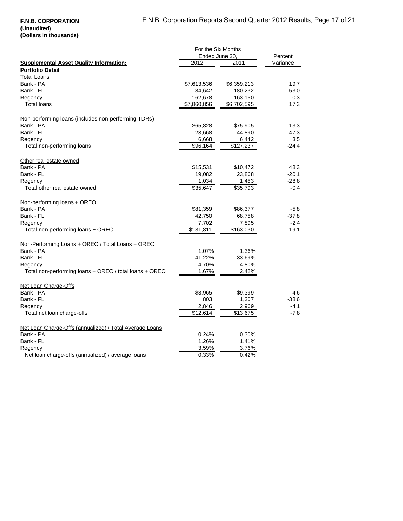#### **F.N.B. CORPORATION (Unaudited)**

**(Dollars in thousands)**

|                                                                   | For the Six Months |             |          |
|-------------------------------------------------------------------|--------------------|-------------|----------|
|                                                                   | Ended June 30.     |             | Percent  |
| <b>Supplemental Asset Quality Information:</b>                    | 2012               | 2011        | Variance |
| <b>Portfolio Detail</b>                                           |                    |             |          |
| <b>Total Loans</b>                                                |                    |             |          |
| Bank - PA                                                         | \$7,613,536        | \$6,359,213 | 19.7     |
| Bank - FL                                                         | 84,642             | 180,232     | $-53.0$  |
| Regency                                                           | 162,678            | 163,150     | $-0.3$   |
| <b>Total loans</b>                                                | \$7,860,856        | \$6,702,595 | 17.3     |
|                                                                   |                    |             |          |
| Non-performing loans (includes non-performing TDRs)               |                    |             |          |
| Bank - PA                                                         | \$65,828           | \$75,905    | $-13.3$  |
| Bank - FL                                                         | 23,668             | 44,890      | $-47.3$  |
| Regency                                                           | 6,668              | 6,442       | 3.5      |
| Total non-performing loans                                        | \$96,164           | \$127,237   | $-24.4$  |
|                                                                   |                    |             |          |
| Other real estate owned                                           |                    |             |          |
| Bank - PA                                                         | \$15,531           | \$10,472    | 48.3     |
| Bank - FL                                                         | 19,082             | 23,868      | $-20.1$  |
| Regency                                                           | 1,034              | 1,453       | $-28.8$  |
| Total other real estate owned                                     | \$35,647           | \$35,793    | $-0.4$   |
|                                                                   |                    |             |          |
| Non-performing loans + OREO                                       |                    |             |          |
| Bank - PA                                                         | \$81,359           | \$86,377    | $-5.8$   |
| Bank - FL                                                         | 42,750             | 68,758      | $-37.8$  |
| Regency                                                           | 7,702              | 7,895       | $-2.4$   |
| Total non-performing loans + OREO                                 | \$131,811          | \$163,030   | $-19.1$  |
| Non-Performing Loans + OREO / Total Loans + OREO                  |                    |             |          |
| Bank - PA                                                         | 1.07%              | 1.36%       |          |
| Bank - FL                                                         | 41.22%             | 33.69%      |          |
|                                                                   | 4.70%              | 4.80%       |          |
| Regency<br>Total non-performing loans + OREO / total loans + OREO | 1.67%              | 2.42%       |          |
|                                                                   |                    |             |          |
| Net Loan Charge-Offs                                              |                    |             |          |
| Bank - PA                                                         | \$8,965            | \$9,399     | -4.6     |
| Bank - FL                                                         | 803                | 1,307       | $-38.6$  |
| Regency                                                           | 2,846              | 2,969       | $-4.1$   |
| Total net loan charge-offs                                        | $\sqrt{$12,614}$   | \$13,675    | $-7.8$   |
|                                                                   |                    |             |          |
| Net Loan Charge-Offs (annualized) / Total Average Loans           |                    |             |          |
| Bank - PA                                                         | 0.24%              | 0.30%       |          |
| Bank - FL                                                         | 1.26%              | 1.41%       |          |
| Regency                                                           | 3.59%              | 3.76%       |          |
| Net loan charge-offs (annualized) / average loans                 | 0.33%              | 0.42%       |          |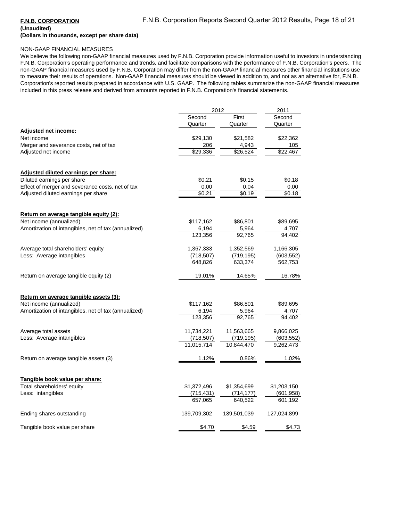# **(Unaudited)**

# **(Dollars in thousands, except per share data)**

### NON-GAAP FINANCIAL MEASURES

We believe the following non-GAAP financial measures used by F.N.B. Corporation provide information useful to investors in understanding F.N.B. Corporation's operating performance and trends, and facilitate comparisons with the performance of F.N.B. Corporation's peers. The non-GAAP financial measures used by F.N.B. Corporation may differ from the non-GAAP financial measures other financial institutions use to measure their results of operations. Non-GAAP financial measures should be viewed in addition to, and not as an alternative for, F.N.B. Corporation's reported results prepared in accordance with U.S. GAAP. The following tables summarize the non-GAAP financial measures included in this press release and derived from amounts reported in F.N.B. Corporation's financial statements.

|                                                      | 2012                 |                      | 2011                  |
|------------------------------------------------------|----------------------|----------------------|-----------------------|
|                                                      | Second               | First                | Second                |
|                                                      | Quarter              | Quarter              | Quarter               |
| <b>Adjusted net income:</b>                          |                      |                      |                       |
| Net income                                           | \$29,130             | \$21,582             | \$22,362              |
| Merger and severance costs, net of tax               | 206                  | 4,943                | 105                   |
| Adjusted net income                                  | \$29,336             | \$26,524             | \$22.467              |
| <u>Adjusted diluted earnings per share:</u>          |                      |                      |                       |
| Diluted earnings per share                           | \$0.21               | \$0.15               | \$0.18                |
| Effect of merger and severance costs, net of tax     | 0.00                 | 0.04                 | 0.00                  |
| Adjusted diluted earnings per share                  | \$0.21               | \$0.19               | \$0.18                |
| Return on average tangible equity (2):               |                      |                      |                       |
| Net income (annualized)                              | \$117,162            | \$86,801             | \$89,695              |
| Amortization of intangibles, net of tax (annualized) | 6,194                | 5,964                | 4,707                 |
|                                                      | 123,356              | 92,765               | 94,402                |
| Average total shareholders' equity                   | 1,367,333            | 1,352,569            | 1,166,305             |
| Less: Average intangibles                            | (718, 507)           | (719, 195)           | (603, 552)            |
|                                                      | 648,826              | 633,374              | 562,753               |
| Return on average tangible equity (2)                | 19.01%               | 14.65%               | 16.78%                |
| Return on average tangible assets (3):               |                      |                      |                       |
| Net income (annualized)                              | \$117,162            | \$86,801             | \$89,695              |
| Amortization of intangibles, net of tax (annualized) | 6,194                | 5,964                | 4,707                 |
|                                                      | 123,356              | 92,765               | 94,402                |
| Average total assets                                 | 11,734,221           | 11,563,665           | 9,866,025             |
| Less: Average intangibles                            | (718, 507)           | (719,195)            | (603, 552)            |
|                                                      | 11,015,714           | 10,844,470           | 9,262,473             |
| Return on average tangible assets (3)                | 1.12%                | 0.86%                | 1.02%                 |
|                                                      |                      |                      |                       |
| Tangible book value per share:                       |                      |                      |                       |
| Total shareholders' equity                           | \$1,372,496          | \$1,354,699          | \$1,203,150           |
| Less: intangibles                                    | (715,431)<br>657,065 | (714,177)<br>640,522 | (601, 958)<br>601,192 |
|                                                      |                      |                      |                       |
| Ending shares outstanding                            | 139,709,302          | 139,501,039          | 127,024,899           |
| Tangible book value per share                        | \$4.70               | \$4.59               | \$4.73                |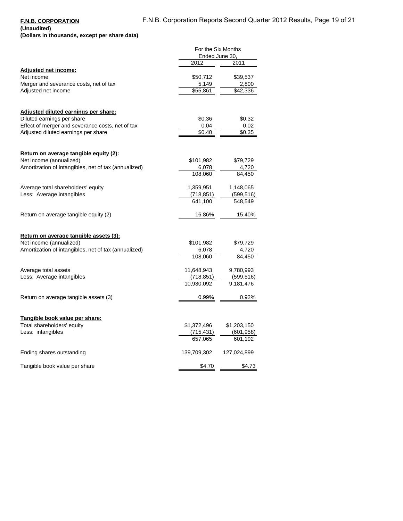**(Unaudited) (Dollars in thousands, except per share data)**

|                                                                                                                                                               | For the Six Months<br>Ended June 30,   |                                      |
|---------------------------------------------------------------------------------------------------------------------------------------------------------------|----------------------------------------|--------------------------------------|
|                                                                                                                                                               | 2012                                   | 2011                                 |
| <b>Adjusted net income:</b><br>Net income<br>Merger and severance costs, net of tax<br>Adjusted net income                                                    | \$50,712<br>5,149<br>\$55,861          | \$39,537<br>2,800<br>\$42,336        |
| Adjusted diluted earnings per share:<br>Diluted earnings per share<br>Effect of merger and severance costs, net of tax<br>Adjusted diluted earnings per share | \$0.36<br>0.04<br>\$0.40               | \$0.32<br>0.02<br>\$0.35             |
| Return on average tangible equity (2):<br>Net income (annualized)<br>Amortization of intangibles, net of tax (annualized)                                     | \$101,982<br>6,078<br>108,060          | \$79,729<br>4,720<br>84,450          |
| Average total shareholders' equity<br>Less: Average intangibles                                                                                               | 1,359,951<br>(718, 851)<br>641,100     | 1,148,065<br>(599, 516)<br>548,549   |
| Return on average tangible equity (2)                                                                                                                         | 16.86%                                 | 15.40%                               |
| <u>Return on average tangible assets (3):</u><br>Net income (annualized)<br>Amortization of intangibles, net of tax (annualized)                              | \$101,982<br>6,078<br>108,060          | \$79,729<br>4,720<br>84,450          |
| Average total assets<br>Less: Average intangibles                                                                                                             | 11,648,943<br>(718, 851)<br>10,930,092 | 9,780,993<br>(599, 516)<br>9,181,476 |
| Return on average tangible assets (3)                                                                                                                         | 0.99%                                  | 0.92%                                |
| Tangible book value per share:<br>Total shareholders' equity<br>Less: intangibles                                                                             | \$1,372,496<br>(715, 431)<br>657,065   | \$1,203,150<br>(601,958)<br>601,192  |
| Ending shares outstanding                                                                                                                                     | 139,709,302                            | 127,024,899                          |
| Tangible book value per share                                                                                                                                 | \$4.70                                 | \$4.73                               |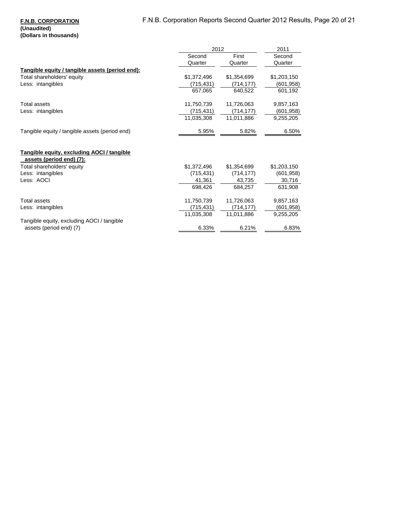### **F.N.B. CORPORATION (Unaudited) (Dollars in thousands)**

|                                                                        |             | 2012        |             |
|------------------------------------------------------------------------|-------------|-------------|-------------|
|                                                                        | Second      | First       | Second      |
|                                                                        | Quarter     | Quarter     | Quarter     |
| Tangible equity / tangible assets (period end):                        |             |             |             |
| Total shareholders' equity                                             | \$1,372,496 | \$1,354,699 | \$1,203,150 |
| Less: intangibles                                                      | (715,431)   | (714,177)   | (601, 958)  |
|                                                                        | 657,065     | 640,522     | 601,192     |
| Total assets                                                           | 11,750,739  | 11,726,063  | 9,857,163   |
| Less: intangibles                                                      | (715,431)   | (714, 177)  | (601, 958)  |
|                                                                        | 11,035,308  | 11,011,886  | 9,255,205   |
| Tangible equity / tangible assets (period end)                         | 5.95%       | 5.82%       | 6.50%       |
| Tangible equity, excluding AOCI / tangible<br>assets (period end) (7): |             |             |             |
| Total shareholders' equity                                             | \$1,372,496 | \$1,354,699 | \$1,203,150 |
| Less: intangibles                                                      | (715, 431)  | (714, 177)  | (601, 958)  |
| Less: AOCI                                                             | 41,361      | 43,735      | 30,716      |
|                                                                        | 698,426     | 684,257     | 631,908     |
| <b>Total assets</b>                                                    | 11,750,739  | 11,726,063  | 9,857,163   |
| Less: intangibles                                                      | (715, 431)  | (714, 177)  | (601, 958)  |
|                                                                        | 11,035,308  | 11,011,886  | 9,255,205   |
| Tangible equity, excluding AOCI / tangible                             |             |             |             |
| assets (period end) (7)                                                | 6.33%       | 6.21%       | 6.83%       |